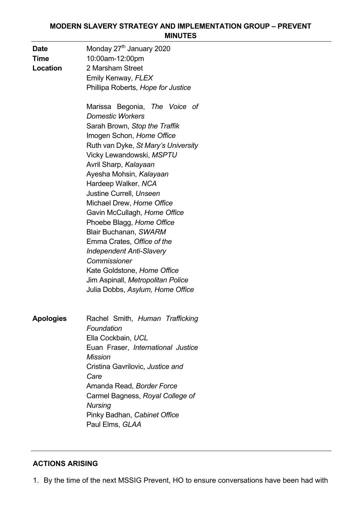#### **MODERN SLAVERY STRATEGY AND IMPLEMENTATION GROUP – PREVENT MINUTES**

| Date<br>Time<br>Location | Monday 27 <sup>th</sup> January 2020<br>10:00am-12:00pm<br>2 Marsham Street<br>Emily Kenway, FLEX<br>Phillipa Roberts, Hope for Justice                                                                                                                                                                                                                                                                                                                                                                                                                                                                     |
|--------------------------|-------------------------------------------------------------------------------------------------------------------------------------------------------------------------------------------------------------------------------------------------------------------------------------------------------------------------------------------------------------------------------------------------------------------------------------------------------------------------------------------------------------------------------------------------------------------------------------------------------------|
|                          | Marissa Begonia, The Voice of<br><b>Domestic Workers</b><br>Sarah Brown, Stop the Traffik<br>Imogen Schon, Home Office<br>Ruth van Dyke, St Mary's University<br>Vicky Lewandowski, MSPTU<br>Avril Sharp, Kalayaan<br>Ayesha Mohsin, Kalayaan<br>Hardeep Walker, NCA<br>Justine Currell, Unseen<br>Michael Drew, Home Office<br>Gavin McCullagh, Home Office<br>Phoebe Blagg, Home Office<br>Blair Buchanan, SWARM<br>Emma Crates, Office of the<br><b>Independent Anti-Slavery</b><br>Commissioner<br>Kate Goldstone, Home Office<br>Jim Aspinall, Metropolitan Police<br>Julia Dobbs, Asylum, Home Office |
| <b>Apologies</b>         | Rachel Smith, Human Trafficking<br>Foundation<br>Ella Cockbain, UCL<br>Euan Fraser, International Justice<br><b>Mission</b><br>Cristina Gavrilovic, Justice and<br>Care<br>Amanda Read, Border Force<br>Carmel Bagness, Royal College of<br><b>Nursing</b><br>Pinky Badhan, Cabinet Office<br>Paul Elms, GLAA                                                                                                                                                                                                                                                                                               |

## **ACTIONS ARISING**

1. By the time of the next MSSIG Prevent, HO to ensure conversations have been had with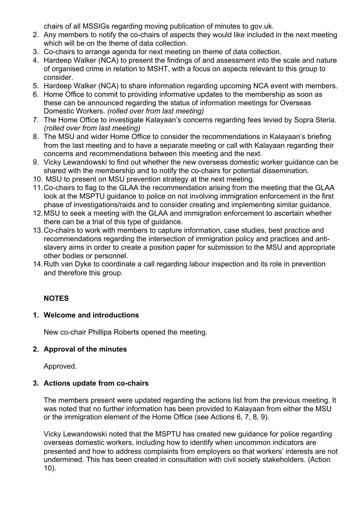chairs of all MSSIGs regarding moving publication of minutes to gov.uk.

- 2. Any members to notify the co-chairs of aspects they would like included in the next meeting which will be on the theme of data collection.
- 3. Co-chairs to arrange agenda for next meeting on theme of data collection.
- 4. Hardeep Walker (NCA) to present the findings of and assessment into the scale and nature of organised crime in relation to MSHT, with a focus on aspects relevant to this group to consider.
- 5. Hardeep Walker (NCA) to share information regarding upcoming NCA event with members.
- 6. Home Office to commit to providing informative updates to the membership as soon as these can be announced regarding the status of information meetings for Overseas Domestic Workers. *(rolled over from last meeting)*
- 7. The Home Office to investigate Kalayaan's concerns regarding fees levied by Sopra Steria. *(rolled over from last meeting)*
- 8. The MSU and wider Home Office to consider the recommendations in Kalayaan's briefing from the last meeting and to have a separate meeting or call with Kalayaan regarding their concerns and recommendations between this meeting and the next.
- 9. Vicky Lewandowski to find out whether the new overseas domestic worker guidance can be shared with the membership and to notify the co-chairs for potential dissemination.
- 10. MSU to present on MSU prevention strategy at the next meeting.
- 11.Co-chairs to flag to the GLAA the recommendation arising from the meeting that the GLAA look at the MSPTU guidance to police on not involving immigration enforcement in the first phase of investigations/raids and to consider creating and implementing similar guidance.
- 12.MSU to seek a meeting with the GLAA and immigration enforcement to ascertain whether there can be a trial of this type of guidance.
- 13.Co-chairs to work with members to capture information, case studies, best practice and recommendations regarding the intersection of immigration policy and practices and antislavery aims in order to create a position paper for submission to the MSU and appropriate other bodies or personnel.
- 14.Ruth van Dyke to coordinate a call regarding labour inspection and its role in prevention and therefore this group.

#### **NOTES**

#### **1. Welcome and introductions**

New co-chair Phillipa Roberts opened the meeting.

#### **2. Approval of the minutes**

Approved.

#### **3. Actions update from co-chairs**

The members present were updated regarding the actions list from the previous meeting. It was noted that no further information has been provided to Kalayaan from either the MSU or the immigration element of the Home Office (see Actions 6, 7, 8, 9).

Vicky Lewandowski noted that the MSPTU has created new guidance for police regarding overseas domestic workers, including how to identify when uncommon indicators are presented and how to address complaints from employers so that workers' interests are not undermined. This has been created in consultation with civil society stakeholders. (Action 10).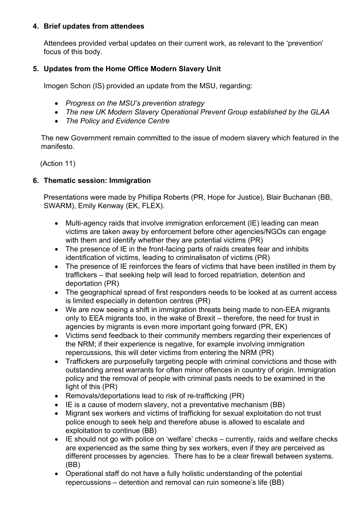#### **4. Brief updates from attendees**

Attendees provided verbal updates on their current work, as relevant to the 'prevention' focus of this body.

## **5. Updates from the Home Office Modern Slavery Unit**

Imogen Schon (IS) provided an update from the MSU, regarding:

- *Progress on the MSU's prevention strategy*
- *The new UK Modern Slavery Operational Prevent Group established by the GLAA*
- *The Policy and Evidence Centre*

The new Government remain committed to the issue of modern slavery which featured in the manifesto.

(Action 11)

## **6. Thematic session: Immigration**

Presentations were made by Phillipa Roberts (PR, Hope for Justice), Blair Buchanan (BB, SWARM), Emily Kenway (EK, FLEX).

- Multi-agency raids that involve immigration enforcement (IE) leading can mean victims are taken away by enforcement before other agencies/NGOs can engage with them and identify whether they are potential victims (PR)
- The presence of IE in the front-facing parts of raids creates fear and inhibits identification of victims, leading to criminalisaton of victims (PR)
- The presence of IE reinforces the fears of victims that have been instilled in them by traffickers – that seeking help will lead to forced repatriation, detention and deportation (PR)
- The geographical spread of first responders needs to be looked at as current access is limited especially in detention centres (PR)
- We are now seeing a shift in immigration threats being made to non-EEA migrants only to EEA migrants too, in the wake of Brexit – therefore, the need for trust in agencies by migrants is even more important going forward (PR, EK)
- Victims send feedback to their community members regarding their experiences of the NRM; if their experience is negative, for example involving immigration repercussions, this will deter victims from entering the NRM (PR)
- Traffickers are purposefully targeting people with criminal convictions and those with outstanding arrest warrants for often minor offences in country of origin. Immigration policy and the removal of people with criminal pasts needs to be examined in the light of this (PR)
- Removals/deportations lead to risk of re-trafficking (PR)
- IE is a cause of modern slavery, not a preventative mechanism (BB)
- Migrant sex workers and victims of trafficking for sexual exploitation do not trust police enough to seek help and therefore abuse is allowed to escalate and exploitation to continue (BB)
- IE should not go with police on 'welfare' checks currently, raids and welfare checks are experienced as the same thing by sex workers, even if they are perceived as different processes by agencies. There has to be a clear firewall between systems. (BB)
- Operational staff do not have a fully holistic understanding of the potential repercussions – detention and removal can ruin someone's life (BB)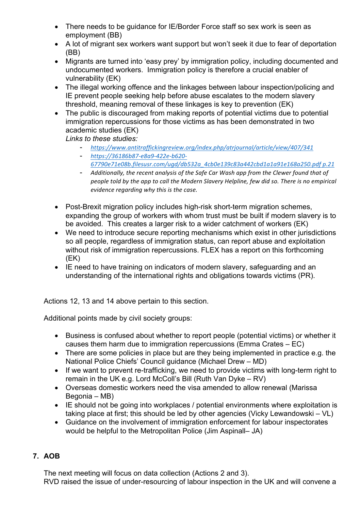- There needs to be guidance for IE/Border Force staff so sex work is seen as employment (BB)
- A lot of migrant sex workers want support but won't seek it due to fear of deportation (BB)
- Migrants are turned into 'easy prey' by immigration policy, including documented and undocumented workers. Immigration policy is therefore a crucial enabler of vulnerability (EK)
- The illegal working offence and the linkages between labour inspection/policing and IE prevent people seeking help before abuse escalates to the modern slavery threshold, meaning removal of these linkages is key to prevention (EK)
- The public is discouraged from making reports of potential victims due to potential immigration repercussions for those victims as has been demonstrated in two academic studies (EK)

*Links to these studies:*

- *https://www.antitraffickingreview.org/index.php/atrjournal/article/view/407/341*
- *https://36186b87-e8a9-422e-b620- 67790e71e08b.filesusr.com/ugd/db532a\_4cb0e139c83a442cbd1a1a91e168a250.pdf p.21*
- Additionally, the recent analysis of the Safe Car Wash app from the Clewer found that of *people told by the app to call the Modern Slavery Helpline, few did so. There is no empirical evidence regarding why this is the case.*
- Post-Brexit migration policy includes high-risk short-term migration schemes, expanding the group of workers with whom trust must be built if modern slavery is to be avoided. This creates a larger risk to a wider catchment of workers (EK)
- We need to introduce secure reporting mechanisms which exist in other jurisdictions so all people, regardless of immigration status, can report abuse and exploitation without risk of immigration repercussions. FLEX has a report on this forthcoming (EK)
- IE need to have training on indicators of modern slavery, safeguarding and an understanding of the international rights and obligations towards victims (PR).

Actions 12, 13 and 14 above pertain to this section.

Additional points made by civil society groups:

- Business is confused about whether to report people (potential victims) or whether it causes them harm due to immigration repercussions (Emma Crates – EC)
- There are some policies in place but are they being implemented in practice e.g. the National Police Chiefs' Council guidance (Michael Drew – MD)
- If we want to prevent re-trafficking, we need to provide victims with long-term right to remain in the UK e.g. Lord McColl's Bill (Ruth Van Dyke – RV)
- Overseas domestic workers need the visa amended to allow renewal (Marissa Begonia – MB)
- IE should not be going into workplaces / potential environments where exploitation is taking place at first; this should be led by other agencies (Vicky Lewandowski – VL)
- Guidance on the involvement of immigration enforcement for labour inspectorates would be helpful to the Metropolitan Police (Jim Aspinall– JA)

## **7. AOB**

The next meeting will focus on data collection (Actions 2 and 3). RVD raised the issue of under-resourcing of labour inspection in the UK and will convene a